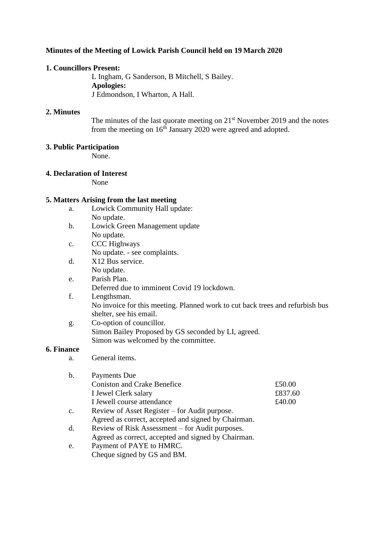# **Minutes of the Meeting of Lowick Parish Council held on 19 March 2020**

## **1. Councillors Present:**

L Ingham, G Sanderson, B Mitchell, S Bailey. **Apologies:** J Edmondson, I Wharton, A Hall.

## **2. Minutes**

The minutes of the last quorate meeting on  $21<sup>st</sup>$  November 2019 and the notes from the meeting on  $16<sup>th</sup>$  January 2020 were agreed and adopted.

## **3. Public Participation**

None.

## **4. Declaration of Interest**

None

## **5. Matters Arising from the last meeting**

- a. Lowick Community Hall update: No update.
- b. Lowick Green Management update No update.
- c. CCC Highways No update. - see complaints.
- d. X12 Bus service. No update.
- e. Parish Plan. Deferred due to imminent Covid 19 lockdown.
- f. Lengthsman. No invoice for this meeting. Planned work to cut back trees and refurbish bus shelter, see his email.
- g. Co-option of councillor. Simon Bailey Proposed by GS seconded by LI, agreed. Simon was welcomed by the committee.

# **6. Finance**

a. General items.

| b.             | Payments Due                                        |         |
|----------------|-----------------------------------------------------|---------|
|                | <b>Coniston and Crake Benefice</b>                  | £50.00  |
|                | I Jewel Clerk salary                                | £837.60 |
|                | I Jewell course attendance                          | £40.00  |
| $\mathbf{c}$ . | Review of Asset Register – for Audit purpose.       |         |
|                | Agreed as correct, accepted and signed by Chairman. |         |
| d.             | Review of Risk Assessment – for Audit purposes.     |         |
|                | Agreed as correct, accepted and signed by Chairman. |         |
| e.             | Payment of PAYE to HMRC.                            |         |
|                |                                                     |         |

Cheque signed by GS and BM.